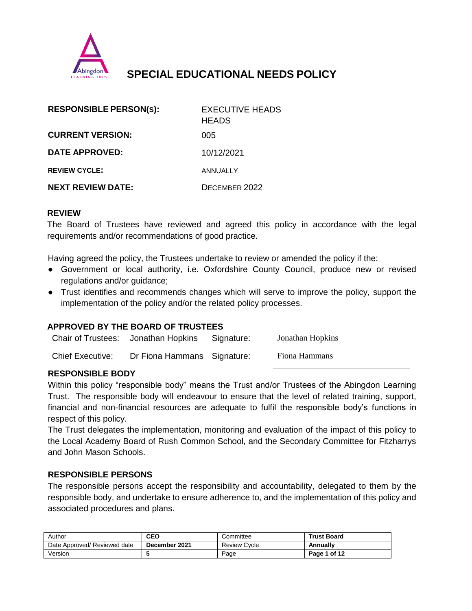

# **SPECIAL EDUCATIONAL NEEDS POLICY**

| <b>RESPONSIBLE PERSON(S):</b> | <b>EXECUTIVE HEADS</b><br><b>HEADS</b> |
|-------------------------------|----------------------------------------|
| <b>CURRENT VERSION:</b>       | 005                                    |
| <b>DATE APPROVED:</b>         | 10/12/2021                             |
| <b>REVIEW CYCLE:</b>          | ANNUALLY                               |
| <b>NEXT REVIEW DATE:</b>      | DECEMBER 2022                          |

#### **REVIEW**

The Board of Trustees have reviewed and agreed this policy in accordance with the legal requirements and/or recommendations of good practice.

Having agreed the policy, the Trustees undertake to review or amended the policy if the:

- Government or local authority, i.e. Oxfordshire County Council, produce new or revised regulations and/or guidance;
- Trust identifies and recommends changes which will serve to improve the policy, support the implementation of the policy and/or the related policy processes.

#### **APPROVED BY THE BOARD OF TRUSTEES**

| Chair of Trustees: Jonathan Hopkins |                             | Signature: | <b>Jonathan Hopkins</b> |
|-------------------------------------|-----------------------------|------------|-------------------------|
| <b>Chief Executive:</b>             | Dr Fiona Hammans Signature: |            | Fiona Hammans           |

#### **RESPONSIBLE BODY**

Within this policy "responsible body" means the Trust and/or Trustees of the Abingdon Learning Trust. The responsible body will endeavour to ensure that the level of related training, support, financial and non-financial resources are adequate to fulfil the responsible body's functions in respect of this policy.

The Trust delegates the implementation, monitoring and evaluation of the impact of this policy to the Local Academy Board of Rush Common School, and the Secondary Committee for Fitzharrys and John Mason Schools.

#### **RESPONSIBLE PERSONS**

The responsible persons accept the responsibility and accountability, delegated to them by the responsible body, and undertake to ensure adherence to, and the implementation of this policy and associated procedures and plans.

| Author                       | CEO           | Committee           | <b>Trust Board</b> |
|------------------------------|---------------|---------------------|--------------------|
| Date Approved/ Reviewed date | December 2021 | <b>Review Cycle</b> | Annually           |
| Version                      |               | Page                | Page 1 of 12       |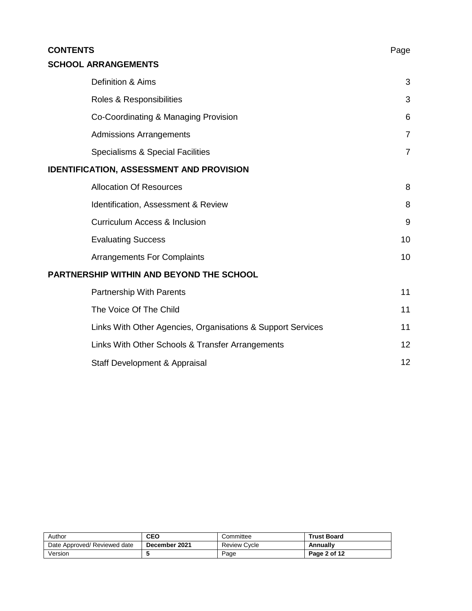| <b>CONTENTS</b>                                             | Page           |
|-------------------------------------------------------------|----------------|
| <b>SCHOOL ARRANGEMENTS</b>                                  |                |
| Definition & Aims                                           | 3              |
| Roles & Responsibilities                                    | 3              |
| Co-Coordinating & Managing Provision                        | 6              |
| <b>Admissions Arrangements</b>                              | $\overline{7}$ |
| Specialisms & Special Facilities                            | 7              |
| <b>IDENTIFICATION, ASSESSMENT AND PROVISION</b>             |                |
| <b>Allocation Of Resources</b>                              | 8              |
| Identification, Assessment & Review                         | 8              |
| <b>Curriculum Access &amp; Inclusion</b>                    | 9              |
| <b>Evaluating Success</b>                                   | 10             |
| <b>Arrangements For Complaints</b>                          | 10             |
| PARTNERSHIP WITHIN AND BEYOND THE SCHOOL                    |                |
| <b>Partnership With Parents</b>                             | 11             |
| The Voice Of The Child                                      | 11             |
| Links With Other Agencies, Organisations & Support Services | 11             |
| Links With Other Schools & Transfer Arrangements            | 12             |
| Staff Development & Appraisal                               | 12             |

| Author                       | CEO           | Committee    | <b>Trust Board</b> |
|------------------------------|---------------|--------------|--------------------|
| Date Approved/ Reviewed date | December 2021 | Review Cycle | Annually           |
| Version                      |               | Page         | Page 2 of 12       |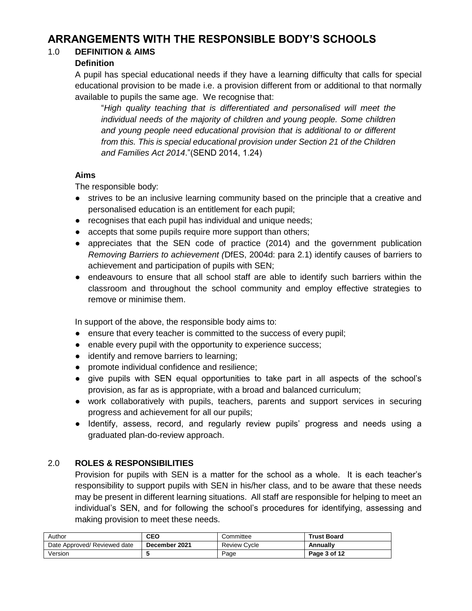# **ARRANGEMENTS WITH THE RESPONSIBLE BODY'S SCHOOLS**

#### 1.0 **DEFINITION & AIMS**

#### **Definition**

A pupil has special educational needs if they have a learning difficulty that calls for special educational provision to be made i.e. a provision different from or additional to that normally available to pupils the same age. We recognise that:

"*High quality teaching that is differentiated and personalised will meet the individual needs of the majority of children and young people. Some children and young people need educational provision that is additional to or different from this. This is special educational provision under Section 21 of the Children and Families Act 2014*."(SEND 2014, 1.24)

#### **Aims**

The responsible body:

- strives to be an inclusive learning community based on the principle that a creative and personalised education is an entitlement for each pupil;
- recognises that each pupil has individual and unique needs;
- accepts that some pupils require more support than others;
- appreciates that the SEN code of practice (2014) and the government publication *Removing Barriers to achievement (*DfES, 2004d: para 2.1) identify causes of barriers to achievement and participation of pupils with SEN;
- endeavours to ensure that all school staff are able to identify such barriers within the classroom and throughout the school community and employ effective strategies to remove or minimise them.

In support of the above, the responsible body aims to:

- ensure that every teacher is committed to the success of every pupil;
- enable every pupil with the opportunity to experience success;
- identify and remove barriers to learning;
- promote individual confidence and resilience;
- give pupils with SEN equal opportunities to take part in all aspects of the school's provision, as far as is appropriate, with a broad and balanced curriculum;
- work collaboratively with pupils, teachers, parents and support services in securing progress and achievement for all our pupils;
- Identify, assess, record, and regularly review pupils' progress and needs using a graduated plan-do-review approach.

# 2.0 **ROLES & RESPONSIBILITIES**

Provision for pupils with SEN is a matter for the school as a whole. It is each teacher's responsibility to support pupils with SEN in his/her class, and to be aware that these needs may be present in different learning situations. All staff are responsible for helping to meet an individual's SEN, and for following the school's procedures for identifying, assessing and making provision to meet these needs.

| Author                       | CEO           | Committee    | <b>Trust Board</b> |
|------------------------------|---------------|--------------|--------------------|
| Date Approved/ Reviewed date | December 2021 | Review Cvcle | Annually           |
| Version                      |               | Page         | Page 3 of 12       |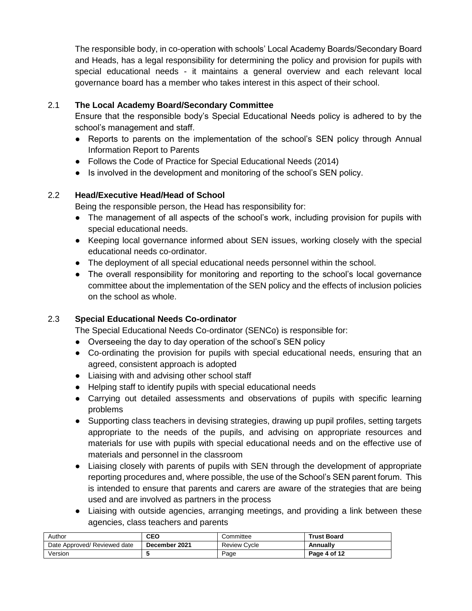The responsible body, in co-operation with schools' Local Academy Boards/Secondary Board and Heads, has a legal responsibility for determining the policy and provision for pupils with special educational needs - it maintains a general overview and each relevant local governance board has a member who takes interest in this aspect of their school.

# 2.1 **The Local Academy Board/Secondary Committee**

Ensure that the responsible body's Special Educational Needs policy is adhered to by the school's management and staff.

- Reports to parents on the implementation of the school's SEN policy through Annual Information Report to Parents
- Follows the Code of Practice for Special Educational Needs (2014)
- Is involved in the development and monitoring of the school's SEN policy.

# 2.2 **Head/Executive Head/Head of School**

Being the responsible person, the Head has responsibility for:

- The management of all aspects of the school's work, including provision for pupils with special educational needs.
- Keeping local governance informed about SEN issues, working closely with the special educational needs co-ordinator.
- The deployment of all special educational needs personnel within the school.
- The overall responsibility for monitoring and reporting to the school's local governance committee about the implementation of the SEN policy and the effects of inclusion policies on the school as whole.

# 2.3 **Special Educational Needs Co-ordinator**

The Special Educational Needs Co-ordinator (SENCo) is responsible for:

- Overseeing the day to day operation of the school's SEN policy
- Co-ordinating the provision for pupils with special educational needs, ensuring that an agreed, consistent approach is adopted
- Liaising with and advising other school staff
- Helping staff to identify pupils with special educational needs
- Carrying out detailed assessments and observations of pupils with specific learning problems
- Supporting class teachers in devising strategies, drawing up pupil profiles, setting targets appropriate to the needs of the pupils, and advising on appropriate resources and materials for use with pupils with special educational needs and on the effective use of materials and personnel in the classroom
- Liaising closely with parents of pupils with SEN through the development of appropriate reporting procedures and, where possible, the use of the School's SEN parent forum. This is intended to ensure that parents and carers are aware of the strategies that are being used and are involved as partners in the process
- Liaising with outside agencies, arranging meetings, and providing a link between these agencies, class teachers and parents

| Author                       | CEO           | Committee    | <b>Trust Board</b> |
|------------------------------|---------------|--------------|--------------------|
| Date Approved/ Reviewed date | December 2021 | Review Cycle | Annually           |
| Version                      |               | Page         | Page 4 of 12       |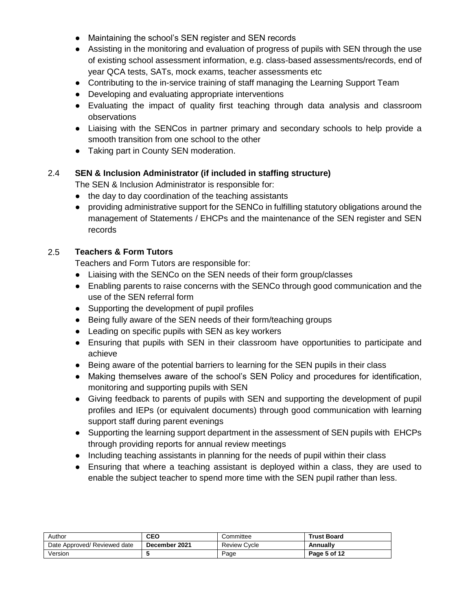- Maintaining the school's SEN register and SEN records
- Assisting in the monitoring and evaluation of progress of pupils with SEN through the use of existing school assessment information, e.g. class-based assessments/records, end of year QCA tests, SATs, mock exams, teacher assessments etc
- Contributing to the in-service training of staff managing the Learning Support Team
- Developing and evaluating appropriate interventions
- Evaluating the impact of quality first teaching through data analysis and classroom observations
- Liaising with the SENCos in partner primary and secondary schools to help provide a smooth transition from one school to the other
- Taking part in County SEN moderation.

#### 2.4 **SEN & Inclusion Administrator (if included in staffing structure)**

The SEN & Inclusion Administrator is responsible for:

- the day to day coordination of the teaching assistants
- providing administrative support for the SENCo in fulfilling statutory obligations around the management of Statements / EHCPs and the maintenance of the SEN register and SEN records

# 2.5 **Teachers & Form Tutors**

Teachers and Form Tutors are responsible for:

- Liaising with the SENCo on the SEN needs of their form group/classes
- Enabling parents to raise concerns with the SENCo through good communication and the use of the SEN referral form
- Supporting the development of pupil profiles
- Being fully aware of the SEN needs of their form/teaching groups
- Leading on specific pupils with SEN as key workers
- Ensuring that pupils with SEN in their classroom have opportunities to participate and achieve
- Being aware of the potential barriers to learning for the SEN pupils in their class
- Making themselves aware of the school's SEN Policy and procedures for identification, monitoring and supporting pupils with SEN
- Giving feedback to parents of pupils with SEN and supporting the development of pupil profiles and IEPs (or equivalent documents) through good communication with learning support staff during parent evenings
- Supporting the learning support department in the assessment of SEN pupils with EHCPs through providing reports for annual review meetings
- Including teaching assistants in planning for the needs of pupil within their class
- Ensuring that where a teaching assistant is deployed within a class, they are used to enable the subject teacher to spend more time with the SEN pupil rather than less.

| Author                       | <b>CEO</b>    | Committee           | <b>Trust Board</b> |
|------------------------------|---------------|---------------------|--------------------|
| Date Approved/ Reviewed date | December 2021 | <b>Review Cycle</b> | Annually           |
| Version                      |               | Page                | Page 5 of 12       |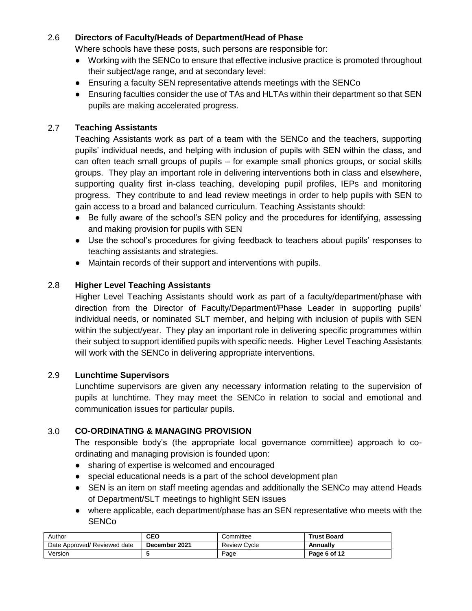# 2.6 **Directors of Faculty/Heads of Department/Head of Phase**

Where schools have these posts, such persons are responsible for:

- Working with the SENCo to ensure that effective inclusive practice is promoted throughout their subject/age range, and at secondary level:
- Ensuring a faculty SEN representative attends meetings with the SENCo
- Ensuring faculties consider the use of TAs and HLTAs within their department so that SEN pupils are making accelerated progress.

# 2.7 **Teaching Assistants**

Teaching Assistants work as part of a team with the SENCo and the teachers, supporting pupils' individual needs, and helping with inclusion of pupils with SEN within the class, and can often teach small groups of pupils – for example small phonics groups, or social skills groups. They play an important role in delivering interventions both in class and elsewhere, supporting quality first in-class teaching, developing pupil profiles, IEPs and monitoring progress. They contribute to and lead review meetings in order to help pupils with SEN to gain access to a broad and balanced curriculum. Teaching Assistants should:

- Be fully aware of the school's SEN policy and the procedures for identifying, assessing and making provision for pupils with SEN
- Use the school's procedures for giving feedback to teachers about pupils' responses to teaching assistants and strategies.
- Maintain records of their support and interventions with pupils.

# 2.8 **Higher Level Teaching Assistants**

Higher Level Teaching Assistants should work as part of a faculty/department/phase with direction from the Director of Faculty/Department/Phase Leader in supporting pupils' individual needs, or nominated SLT member, and helping with inclusion of pupils with SEN within the subject/year. They play an important role in delivering specific programmes within their subject to support identified pupils with specific needs. Higher Level Teaching Assistants will work with the SENCo in delivering appropriate interventions.

# 2.9 **Lunchtime Supervisors**

Lunchtime supervisors are given any necessary information relating to the supervision of pupils at lunchtime. They may meet the SENCo in relation to social and emotional and communication issues for particular pupils.

# 3.0 **CO-ORDINATING & MANAGING PROVISION**

The responsible body's (the appropriate local governance committee) approach to coordinating and managing provision is founded upon:

- sharing of expertise is welcomed and encouraged
- special educational needs is a part of the school development plan
- SEN is an item on staff meeting agendas and additionally the SENCo may attend Heads of Department/SLT meetings to highlight SEN issues
- where applicable, each department/phase has an SEN representative who meets with the SENCo

| Author                       | CEO           | Committee           | <b>Trust Board</b> |
|------------------------------|---------------|---------------------|--------------------|
| Date Approved/ Reviewed date | December 2021 | <b>Review Cycle</b> | Annually           |
| Version                      |               | Page                | Page 6 of 12       |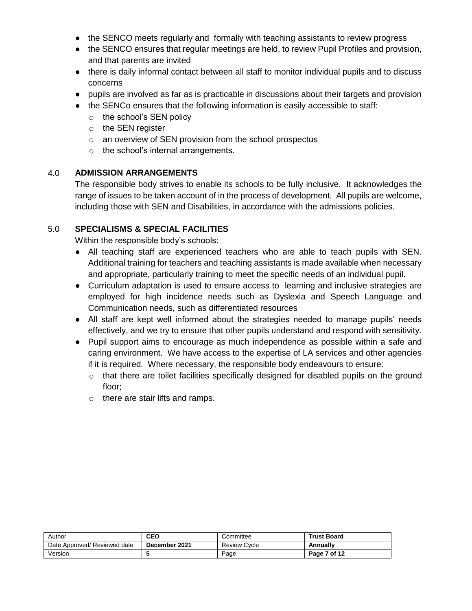- the SENCO meets regularly and formally with teaching assistants to review progress
- the SENCO ensures that regular meetings are held, to review Pupil Profiles and provision, and that parents are invited
- there is daily informal contact between all staff to monitor individual pupils and to discuss concerns
- pupils are involved as far as is practicable in discussions about their targets and provision
- the SENCo ensures that the following information is easily accessible to staff:
	- o the school's SEN policy
	- o the SEN register
	- o an overview of SEN provision from the school prospectus
	- o the school's internal arrangements.

#### 4.0 **ADMISSION ARRANGEMENTS**

The responsible body strives to enable its schools to be fully inclusive. It acknowledges the range of issues to be taken account of in the process of development. All pupils are welcome, including those with SEN and Disabilities, in accordance with the admissions policies.

#### 5.0 **SPECIALISMS & SPECIAL FACILITIES**

Within the responsible body's schools:

- All teaching staff are experienced teachers who are able to teach pupils with SEN. Additional training for teachers and teaching assistants is made available when necessary and appropriate, particularly training to meet the specific needs of an individual pupil.
- Curriculum adaptation is used to ensure access to learning and inclusive strategies are employed for high incidence needs such as Dyslexia and Speech Language and Communication needs, such as differentiated resources
- All staff are kept well informed about the strategies needed to manage pupils' needs effectively, and we try to ensure that other pupils understand and respond with sensitivity.
- Pupil support aims to encourage as much independence as possible within a safe and caring environment. We have access to the expertise of LA services and other agencies if it is required. Where necessary, the responsible body endeavours to ensure:
	- $\circ$  that there are toilet facilities specifically designed for disabled pupils on the ground floor;
	- o there are stair lifts and ramps.

| Author                       | CEO           | Committee           | <b>Trust Board</b> |
|------------------------------|---------------|---------------------|--------------------|
| Date Approved/ Reviewed date | December 2021 | <b>Review Cycle</b> | Annually           |
| Version                      |               | Page                | Page 7 of 12       |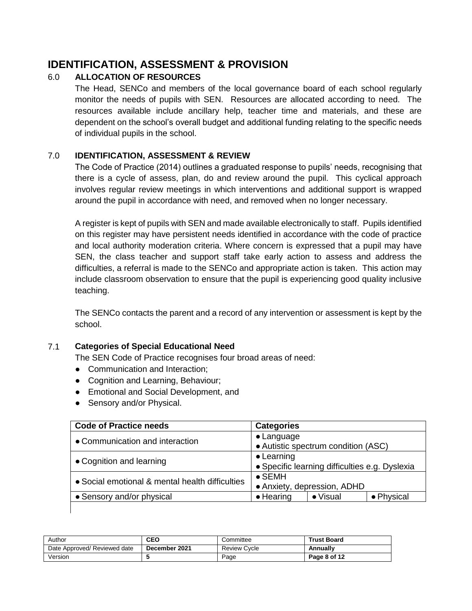# **IDENTIFICATION, ASSESSMENT & PROVISION**

# 6.0 **ALLOCATION OF RESOURCES**

The Head, SENCo and members of the local governance board of each school regularly monitor the needs of pupils with SEN. Resources are allocated according to need. The resources available include ancillary help, teacher time and materials, and these are dependent on the school's overall budget and additional funding relating to the specific needs of individual pupils in the school.

# 7.0 **IDENTIFICATION, ASSESSMENT & REVIEW**

The Code of Practice (2014) outlines a graduated response to pupils' needs, recognising that there is a cycle of assess, plan, do and review around the pupil. This cyclical approach involves regular review meetings in which interventions and additional support is wrapped around the pupil in accordance with need, and removed when no longer necessary.

A register is kept of pupils with SEN and made available electronically to staff. Pupils identified on this register may have persistent needs identified in accordance with the code of practice and local authority moderation criteria. Where concern is expressed that a pupil may have SEN, the class teacher and support staff take early action to assess and address the difficulties, a referral is made to the SENCo and appropriate action is taken. This action may include classroom observation to ensure that the pupil is experiencing good quality inclusive teaching.

The SENCo contacts the parent and a record of any intervention or assessment is kept by the school.

#### 7.1 **Categories of Special Educational Need**

The SEN Code of Practice recognises four broad areas of need:

- Communication and Interaction;
- Cognition and Learning, Behaviour;
- Emotional and Social Development, and
- Sensory and/or Physical.

| <b>Code of Practice needs</b>                   | <b>Categories</b>                                                    |                  |            |
|-------------------------------------------------|----------------------------------------------------------------------|------------------|------------|
| • Communication and interaction                 | • Language<br>• Autistic spectrum condition (ASC)                    |                  |            |
| • Cognition and learning                        | $\bullet$ Learning<br>· Specific learning difficulties e.g. Dyslexia |                  |            |
| • Social emotional & mental health difficulties | $\bullet$ SEMH<br>• Anxiety, depression, ADHD                        |                  |            |
| • Sensory and/or physical                       | $\bullet$ Hearing                                                    | $\bullet$ Visual | • Physical |

| Author                       | <b>CEO</b>    | Committee    | <b>Trust Board</b> |
|------------------------------|---------------|--------------|--------------------|
| Date Approved/ Reviewed date | December 2021 | Review Cycle | Annually           |
| Version                      |               | Page         | Page 8 of 12       |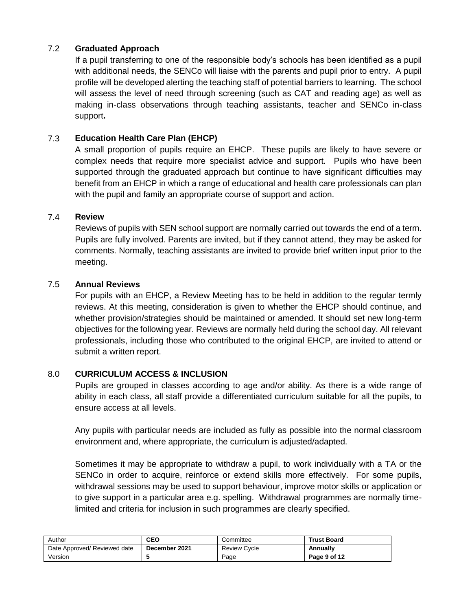#### 7.2 **Graduated Approach**

If a pupil transferring to one of the responsible body's schools has been identified as a pupil with additional needs, the SENCo will liaise with the parents and pupil prior to entry. A pupil profile will be developed alerting the teaching staff of potential barriers to learning. The school will assess the level of need through screening (such as CAT and reading age) as well as making in-class observations through teaching assistants, teacher and SENCo in-class support**.**

# 7.3 **Education Health Care Plan (EHCP)**

A small proportion of pupils require an EHCP. These pupils are likely to have severe or complex needs that require more specialist advice and support. Pupils who have been supported through the graduated approach but continue to have significant difficulties may benefit from an EHCP in which a range of educational and health care professionals can plan with the pupil and family an appropriate course of support and action.

#### 7.4 **Review**

Reviews of pupils with SEN school support are normally carried out towards the end of a term. Pupils are fully involved. Parents are invited, but if they cannot attend, they may be asked for comments. Normally, teaching assistants are invited to provide brief written input prior to the meeting.

#### 7.5 **Annual Reviews**

For pupils with an EHCP, a Review Meeting has to be held in addition to the regular termly reviews. At this meeting, consideration is given to whether the EHCP should continue, and whether provision/strategies should be maintained or amended. It should set new long-term objectives for the following year. Reviews are normally held during the school day. All relevant professionals, including those who contributed to the original EHCP, are invited to attend or submit a written report.

#### 8.0 **CURRICULUM ACCESS & INCLUSION**

Pupils are grouped in classes according to age and/or ability. As there is a wide range of ability in each class, all staff provide a differentiated curriculum suitable for all the pupils, to ensure access at all levels.

Any pupils with particular needs are included as fully as possible into the normal classroom environment and, where appropriate, the curriculum is adjusted/adapted.

Sometimes it may be appropriate to withdraw a pupil, to work individually with a TA or the SENCo in order to acquire, reinforce or extend skills more effectively. For some pupils, withdrawal sessions may be used to support behaviour, improve motor skills or application or to give support in a particular area e.g. spelling. Withdrawal programmes are normally timelimited and criteria for inclusion in such programmes are clearly specified.

| Author                       | CEO           | こommittee           | <b>Trust Board</b> |
|------------------------------|---------------|---------------------|--------------------|
| Date Approved/ Reviewed date | December 2021 | <b>Review Cycle</b> | Annually           |
| Version                      |               | Page                | Page 9 of 12       |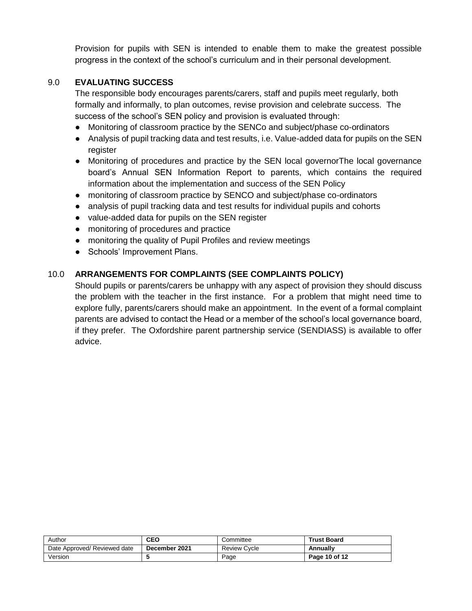Provision for pupils with SEN is intended to enable them to make the greatest possible progress in the context of the school's curriculum and in their personal development.

#### 9.0 **EVALUATING SUCCESS**

The responsible body encourages parents/carers, staff and pupils meet regularly, both formally and informally, to plan outcomes, revise provision and celebrate success. The success of the school's SEN policy and provision is evaluated through:

- Monitoring of classroom practice by the SENCo and subject/phase co-ordinators
- Analysis of pupil tracking data and test results, i.e. Value-added data for pupils on the SEN register
- Monitoring of procedures and practice by the SEN local governorThe local governance board's Annual SEN Information Report to parents, which contains the required information about the implementation and success of the SEN Policy
- monitoring of classroom practice by SENCO and subject/phase co-ordinators
- analysis of pupil tracking data and test results for individual pupils and cohorts
- value-added data for pupils on the SEN register
- monitoring of procedures and practice
- monitoring the quality of Pupil Profiles and review meetings
- Schools' Improvement Plans.

#### 10.0 **ARRANGEMENTS FOR COMPLAINTS (SEE COMPLAINTS POLICY)**

Should pupils or parents/carers be unhappy with any aspect of provision they should discuss the problem with the teacher in the first instance. For a problem that might need time to explore fully, parents/carers should make an appointment. In the event of a formal complaint parents are advised to contact the Head or a member of the school's local governance board, if they prefer. The Oxfordshire parent partnership service (SENDIASS) is available to offer advice.

| Author                       | <b>CEO</b>    | Committee    | <b>Trust Board</b> |
|------------------------------|---------------|--------------|--------------------|
| Date Approved/ Reviewed date | December 2021 | Review Cvcle | Annually           |
| Version                      |               | Page         | Page 10 of 12      |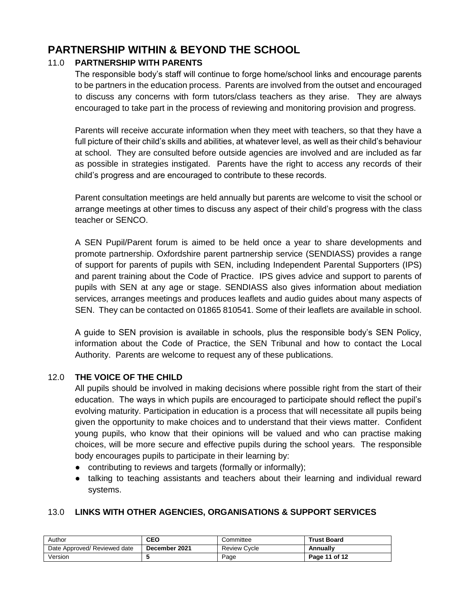# **PARTNERSHIP WITHIN & BEYOND THE SCHOOL**

# 11.0 **PARTNERSHIP WITH PARENTS**

The responsible body's staff will continue to forge home/school links and encourage parents to be partners in the education process. Parents are involved from the outset and encouraged to discuss any concerns with form tutors/class teachers as they arise. They are always encouraged to take part in the process of reviewing and monitoring provision and progress.

Parents will receive accurate information when they meet with teachers, so that they have a full picture of their child's skills and abilities, at whatever level, as well as their child's behaviour at school. They are consulted before outside agencies are involved and are included as far as possible in strategies instigated. Parents have the right to access any records of their child's progress and are encouraged to contribute to these records.

Parent consultation meetings are held annually but parents are welcome to visit the school or arrange meetings at other times to discuss any aspect of their child's progress with the class teacher or SENCO.

A SEN Pupil/Parent forum is aimed to be held once a year to share developments and promote partnership. Oxfordshire parent partnership service (SENDIASS) provides a range of support for parents of pupils with SEN, including Independent Parental Supporters (IPS) and parent training about the Code of Practice. IPS gives advice and support to parents of pupils with SEN at any age or stage. SENDIASS also gives information about mediation services, arranges meetings and produces leaflets and audio guides about many aspects of SEN. They can be contacted on 01865 810541. Some of their leaflets are available in school.

A guide to SEN provision is available in schools, plus the responsible body's SEN Policy, information about the Code of Practice, the SEN Tribunal and how to contact the Local Authority. Parents are welcome to request any of these publications.

#### 12.0 **THE VOICE OF THE CHILD**

All pupils should be involved in making decisions where possible right from the start of their education. The ways in which pupils are encouraged to participate should reflect the pupil's evolving maturity. Participation in education is a process that will necessitate all pupils being given the opportunity to make choices and to understand that their views matter. Confident young pupils, who know that their opinions will be valued and who can practise making choices, will be more secure and effective pupils during the school years. The responsible body encourages pupils to participate in their learning by:

- contributing to reviews and targets (formally or informally);
- talking to teaching assistants and teachers about their learning and individual reward systems.

#### 13.0 **LINKS WITH OTHER AGENCIES, ORGANISATIONS & SUPPORT SERVICES**

| Author                       | CEO           | Committee           | <b>Trust Board</b> |
|------------------------------|---------------|---------------------|--------------------|
| Date Approved/ Reviewed date | December 2021 | <b>Review Cycle</b> | Annually           |
| Version                      |               | Page                | Page 11 of 12      |